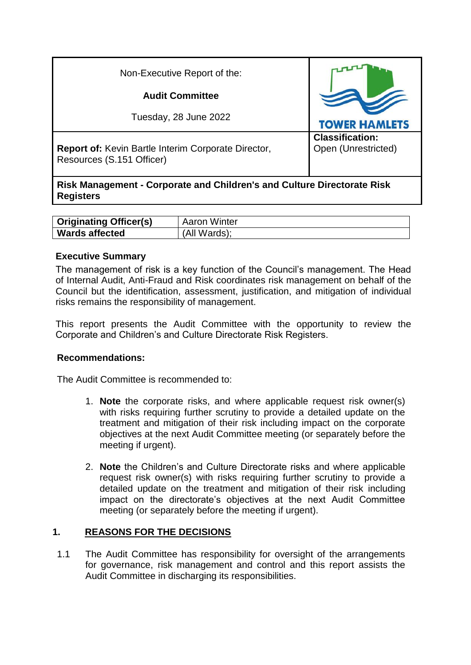| Non-Executive Report of the:                                                            |                                               |  |
|-----------------------------------------------------------------------------------------|-----------------------------------------------|--|
| <b>Audit Committee</b>                                                                  |                                               |  |
| Tuesday, 28 June 2022                                                                   | <b>TOWER HAMLETS</b>                          |  |
| <b>Report of:</b> Kevin Bartle Interim Corporate Director,<br>Resources (S.151 Officer) | <b>Classification:</b><br>Open (Unrestricted) |  |
| <b>Risk Management - Corporate and Children's and Culture Directorate Risk</b>          |                                               |  |

| <b>Originating Officer(s)</b> | Aaron Winter |
|-------------------------------|--------------|
| <b>Wards affected</b>         | (All Wards): |

## **Executive Summary**

The management of risk is a key function of the Council's management. The Head of Internal Audit, Anti-Fraud and Risk coordinates risk management on behalf of the Council but the identification, assessment, justification, and mitigation of individual risks remains the responsibility of management.

This report presents the Audit Committee with the opportunity to review the Corporate and Children's and Culture Directorate Risk Registers.

#### **Recommendations:**

The Audit Committee is recommended to:

- 1. **Note** the corporate risks, and where applicable request risk owner(s) with risks requiring further scrutiny to provide a detailed update on the treatment and mitigation of their risk including impact on the corporate objectives at the next Audit Committee meeting (or separately before the meeting if urgent).
- 2. **Note** the Children's and Culture Directorate risks and where applicable request risk owner(s) with risks requiring further scrutiny to provide a detailed update on the treatment and mitigation of their risk including impact on the directorate's objectives at the next Audit Committee meeting (or separately before the meeting if urgent).

## **1. REASONS FOR THE DECISIONS**

1.1 The Audit Committee has responsibility for oversight of the arrangements for governance, risk management and control and this report assists the Audit Committee in discharging its responsibilities.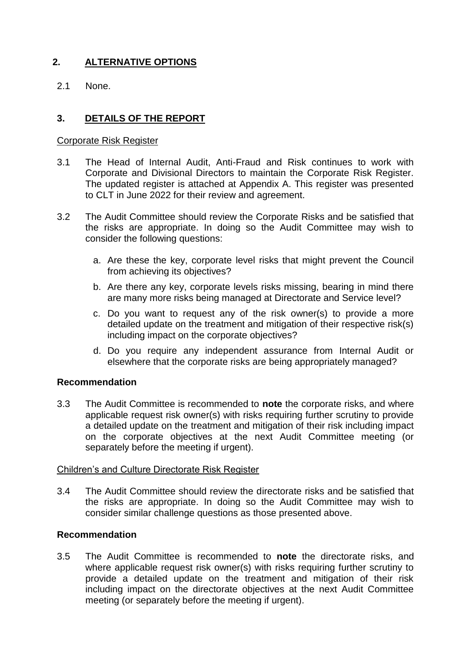## **2. ALTERNATIVE OPTIONS**

2.1 None.

## **3. DETAILS OF THE REPORT**

#### Corporate Risk Register

- 3.1 The Head of Internal Audit, Anti-Fraud and Risk continues to work with Corporate and Divisional Directors to maintain the Corporate Risk Register. The updated register is attached at Appendix A. This register was presented to CLT in June 2022 for their review and agreement.
- 3.2 The Audit Committee should review the Corporate Risks and be satisfied that the risks are appropriate. In doing so the Audit Committee may wish to consider the following questions:
	- a. Are these the key, corporate level risks that might prevent the Council from achieving its objectives?
	- b. Are there any key, corporate levels risks missing, bearing in mind there are many more risks being managed at Directorate and Service level?
	- c. Do you want to request any of the risk owner(s) to provide a more detailed update on the treatment and mitigation of their respective risk(s) including impact on the corporate objectives?
	- d. Do you require any independent assurance from Internal Audit or elsewhere that the corporate risks are being appropriately managed?

#### **Recommendation**

3.3 The Audit Committee is recommended to **note** the corporate risks, and where applicable request risk owner(s) with risks requiring further scrutiny to provide a detailed update on the treatment and mitigation of their risk including impact on the corporate objectives at the next Audit Committee meeting (or separately before the meeting if urgent).

#### Children's and Culture Directorate Risk Register

3.4 The Audit Committee should review the directorate risks and be satisfied that the risks are appropriate. In doing so the Audit Committee may wish to consider similar challenge questions as those presented above.

#### **Recommendation**

3.5 The Audit Committee is recommended to **note** the directorate risks, and where applicable request risk owner(s) with risks requiring further scrutiny to provide a detailed update on the treatment and mitigation of their risk including impact on the directorate objectives at the next Audit Committee meeting (or separately before the meeting if urgent).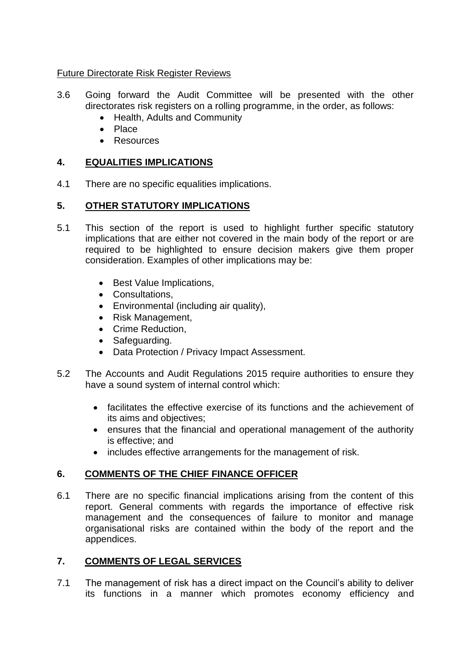## Future Directorate Risk Register Reviews

- 3.6 Going forward the Audit Committee will be presented with the other directorates risk registers on a rolling programme, in the order, as follows:
	- Health, Adults and Community
	- Place
	- Resources

## **4. EQUALITIES IMPLICATIONS**

4.1 There are no specific equalities implications.

## **5. OTHER STATUTORY IMPLICATIONS**

- 5.1 This section of the report is used to highlight further specific statutory implications that are either not covered in the main body of the report or are required to be highlighted to ensure decision makers give them proper consideration. Examples of other implications may be:
	- Best Value Implications.
	- Consultations,
	- Environmental (including air quality),
	- Risk Management,
	- Crime Reduction,
	- Safeguarding.
	- Data Protection / Privacy Impact Assessment.
- 5.2 The Accounts and Audit Regulations 2015 require authorities to ensure they have a sound system of internal control which:
	- facilitates the effective exercise of its functions and the achievement of its aims and objectives;
	- ensures that the financial and operational management of the authority is effective; and
	- includes effective arrangements for the management of risk.

## **6. COMMENTS OF THE CHIEF FINANCE OFFICER**

6.1 There are no specific financial implications arising from the content of this report. General comments with regards the importance of effective risk management and the consequences of failure to monitor and manage organisational risks are contained within the body of the report and the appendices.

# **7. COMMENTS OF LEGAL SERVICES**

7.1 The management of risk has a direct impact on the Council's ability to deliver its functions in a manner which promotes economy efficiency and